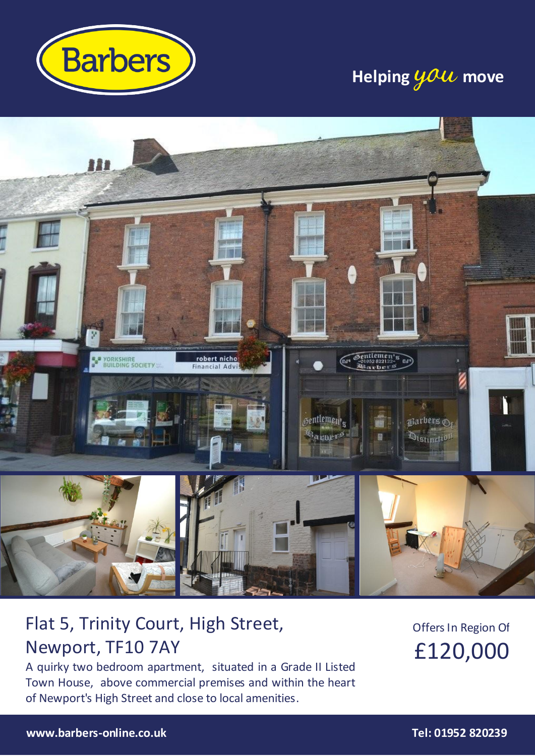

## **Helping you move**



## Flat 5, Trinity Court, High Street, Newport, TF10 7AY

A quirky two bedroom apartment, situated in a Grade II Listed Town House, above commercial premises and within the heart of Newport's High Street and close to local amenities.

Offers In Region Of £120,000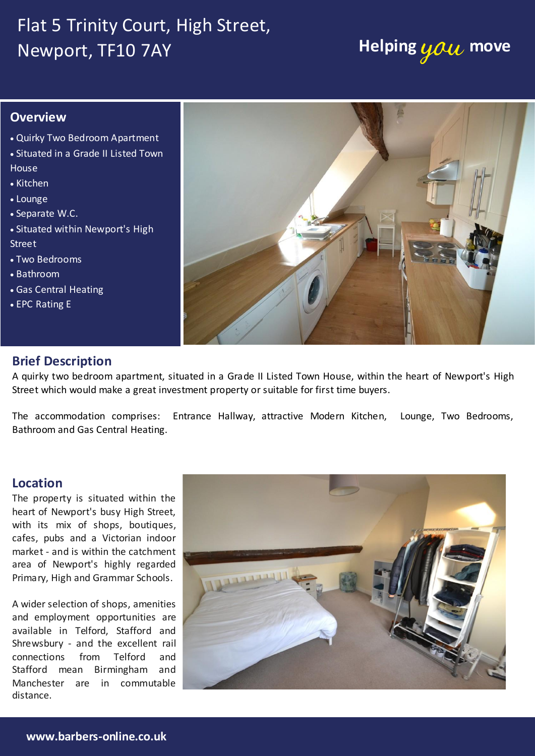## Flat 5 Trinity Court, High Street, **Newport, TF10 7AY <b>Helping you** move

### **Overview**

- Quirky Two Bedroom Apartment
- Situated in a Grade II Listed Town **House**
- Kitchen
- Lounge
- Separate W.C.
- Situated within Newport's High Street
- Two Bedrooms
- Bathroom
- Gas Central Heating
- EPC Rating E



### **Brief Description**

A quirky two bedroom apartment, situated in a Grade II Listed Town House, within the heart of Newport's High Street which would make a great investment property or suitable for first time buyers.

The accommodation comprises: Entrance Hallway, attractive Modern Kitchen, Lounge, Two Bedrooms, Bathroom and Gas Central Heating.

#### **Location**

heart of Newport's busy High Street, .<br>Drimary High and  $\cdots$   $\cdots$   $\cdots$   $\cdots$ with its mix of shops, boutiques, market - and is within the catchment area of Newport's highly regarded Primary, High and Grammar Schools.

A wider selection of shops, amenities available in Telford, Stafford and **Extractor Fan. Door to: Door to: Door to: Door to: Door to: Door to: Door to: Door to: Door to: Door to: Door to: Door to: Door to: Door to: Door to: Door to: Door to: Door to: Door to:** wandres<br>distance. and employment opportunities are Shrewsbury - and the excellent rail connections from Telford and

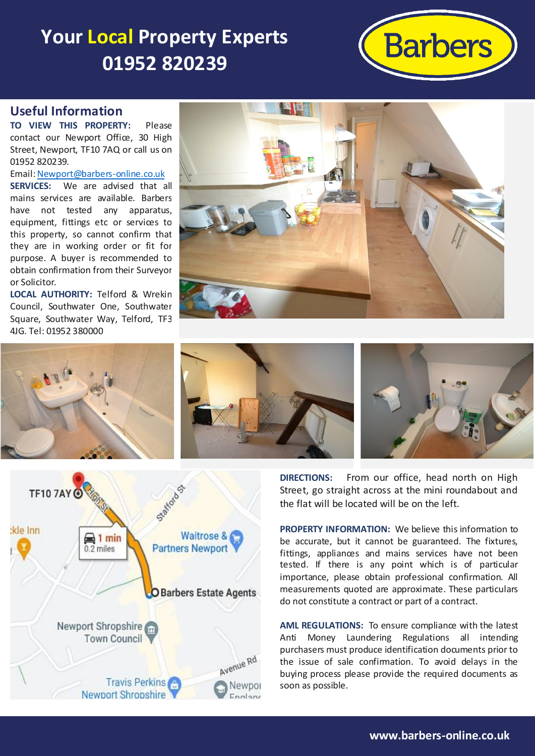# **Your Local Property Experts 01952 820239**



### **Useful Information**

**TO VIEW THIS PROPERTY:** Please contact our Newport Office, 30 High Street, Newport, TF10 7AQ or call us on 01952 820239.

Email[: Newport@barbers-online.co.uk](mailto:Newport@barbers-online.co.uk) **SERVICES:** We are advised that all mains services are available. Barbers have not tested any apparatus, equipment, fittings etc or services to this property, so cannot confirm that they are in working order or fit for purpose. A buyer is recommended to obtain confirmation from their Surveyor or Solicitor.

**LOCAL AUTHORITY:** Telford & Wrekin Council, Southwater One, Southwater Square, Southwater Way, Telford, TF3 4JG. Tel: 01952 380000









**DIRECTIONS:** From our office, head north on High Street, go straight across at the mini roundabout and the flat will be located will be on the left.

**PROPERTY INFORMATION:** We believe this information to be accurate, but it cannot be guaranteed. The fixtures, fittings, appliances and mains services have not been tested. If there is any point which is of particular importance, please obtain professional confirmation. All measurements quoted are approximate. These particulars do not constitute a contract or part of a contract.

**AML REGULATIONS:** To ensure compliance with the latest Anti Money Laundering Regulations all intending purchasers must produce identification documents prior to the issue of sale confirmation. To avoid delays in the buying process please provide the required documents as soon as possible.



**www.barbers-online.co.uk**